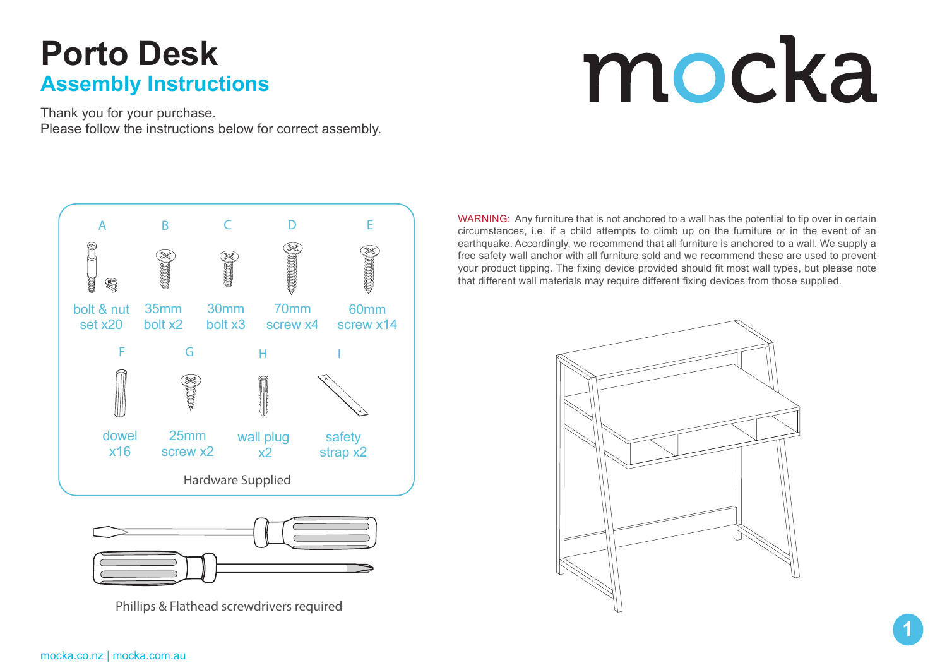# **Porto Desk Assembly Instructions**

# mocka

Thank you for your purchase. Please follow the instructions below for correct assembly.





Phillips & Flathead screwdrivers required

WARNING: Any furniture that is not anchored to a wall has the potential to tip over in certain circumstances, i.e. if a child attempts to climb up on the furniture or in the event of an earthquake. Accordingly, we recommend that all furniture is anchored to a wall. We supply a free safety wall anchor with all furniture sold and we recommend these are used to prevent your product tipping. The fixing device provided should fit most wall types, but please note that different wall materials may require different fixing devices from those supplied.

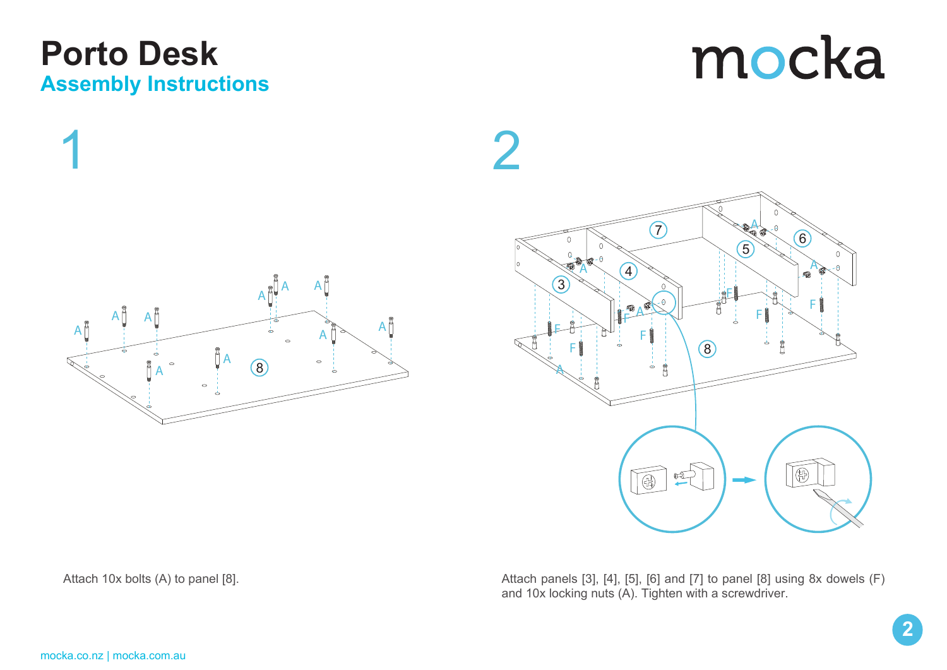# **Porto Desk Assembly Instructions**

mocka





Attach panels [3], [4], [5], [6] and [7] to panel [8] using 8x dowels (F) and 10x locking nuts (A). Tighten with a screwdriver.

Attach 10x bolts (A) to panel [8].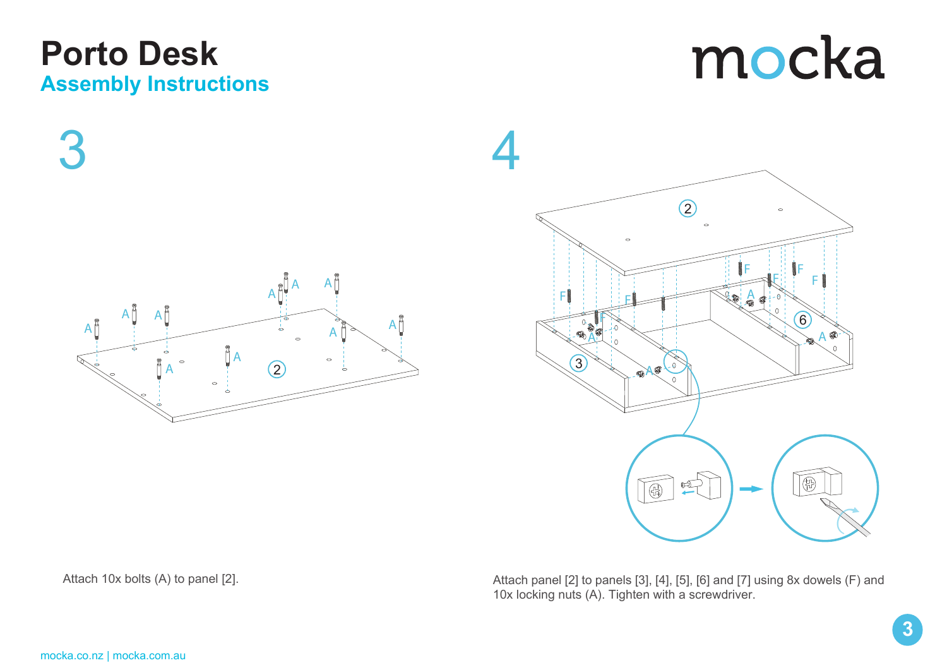#### **Porto Desk Assembly Instructions**

mocka

 $3 \hspace{2.5cm} 4$ F **F** F A A A  $A^{\sharp}$ A A A A A  $A^{\overset{\circ}{\beta}}$ 2 3 A A

 $\overline{2}$  $\sim$ F **F** F F A 6 A 通  $\circ$  $\widehat{\mathbb{G}}$ 

Attach panel [2] to panels [3], [4], [5], [6] and [7] using 8x dowels (F) and 10x locking nuts (A). Tighten with a screwdriver.

Attach 10x bolts (A) to panel [2].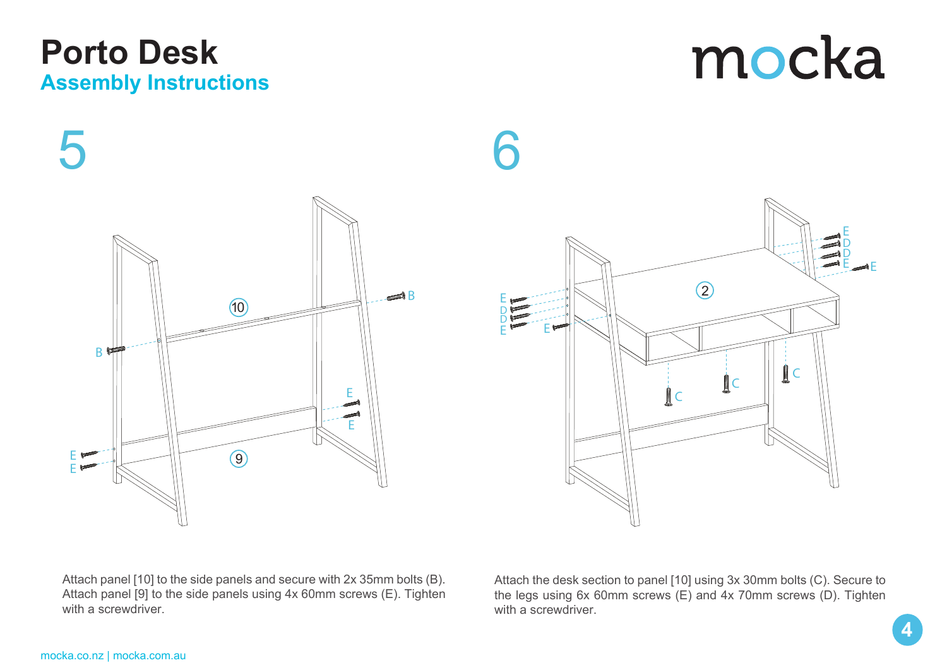Attach panel [10] to the side panels and secure with 2x 35mm bolts (B). Attach panel [9] to the side panels using 4x 60mm screws (E). Tighten with a screwdriver.

Attach the desk section to panel [10] using 3x 30mm bolts (C). Secure to the legs using 6x 60mm screws (E) and 4x 70mm screws (D). Tighten with a screwdriver.



# **Porto Desk Assembly Instructions**